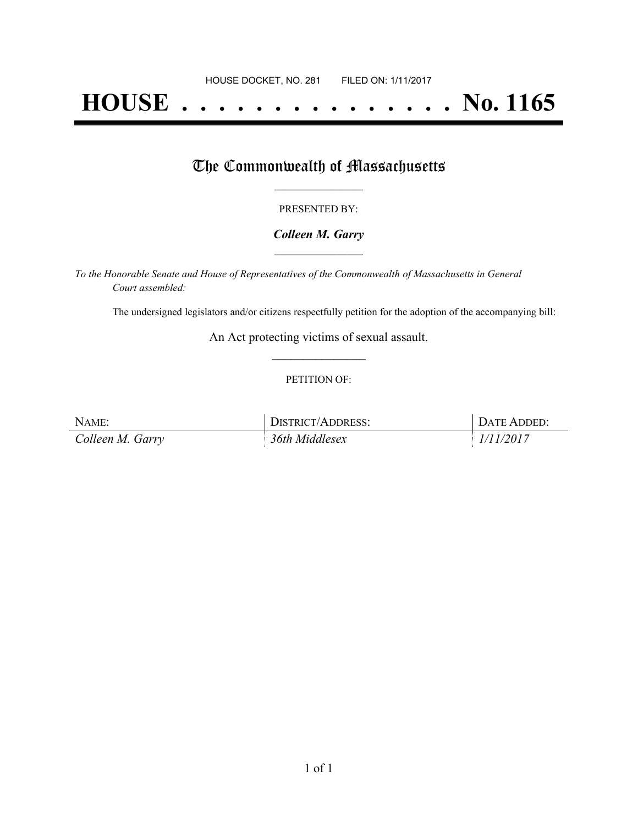# **HOUSE . . . . . . . . . . . . . . . No. 1165**

## The Commonwealth of Massachusetts

#### PRESENTED BY:

#### *Colleen M. Garry* **\_\_\_\_\_\_\_\_\_\_\_\_\_\_\_\_\_**

*To the Honorable Senate and House of Representatives of the Commonwealth of Massachusetts in General Court assembled:*

The undersigned legislators and/or citizens respectfully petition for the adoption of the accompanying bill:

An Act protecting victims of sexual assault. **\_\_\_\_\_\_\_\_\_\_\_\_\_\_\_**

#### PETITION OF:

| NAME:            | <b>DISTRICT/ADDRESS:</b> | DATE ADDED: |
|------------------|--------------------------|-------------|
| Colleen M. Garry | 36th Middlesex           | 1/11/2017   |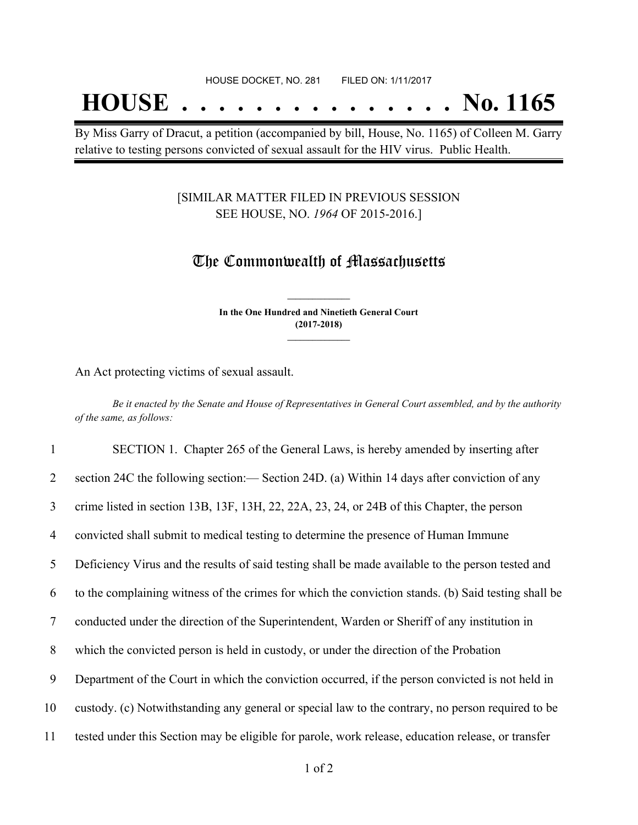## **HOUSE . . . . . . . . . . . . . . . No. 1165**

By Miss Garry of Dracut, a petition (accompanied by bill, House, No. 1165) of Colleen M. Garry relative to testing persons convicted of sexual assault for the HIV virus. Public Health.

#### [SIMILAR MATTER FILED IN PREVIOUS SESSION SEE HOUSE, NO. *1964* OF 2015-2016.]

### The Commonwealth of Massachusetts

**In the One Hundred and Ninetieth General Court (2017-2018) \_\_\_\_\_\_\_\_\_\_\_\_\_\_\_**

**\_\_\_\_\_\_\_\_\_\_\_\_\_\_\_**

An Act protecting victims of sexual assault.

Be it enacted by the Senate and House of Representatives in General Court assembled, and by the authority *of the same, as follows:*

 SECTION 1. Chapter 265 of the General Laws, is hereby amended by inserting after section 24C the following section:— Section 24D. (a) Within 14 days after conviction of any crime listed in section 13B, 13F, 13H, 22, 22A, 23, 24, or 24B of this Chapter, the person convicted shall submit to medical testing to determine the presence of Human Immune Deficiency Virus and the results of said testing shall be made available to the person tested and to the complaining witness of the crimes for which the conviction stands. (b) Said testing shall be conducted under the direction of the Superintendent, Warden or Sheriff of any institution in which the convicted person is held in custody, or under the direction of the Probation Department of the Court in which the conviction occurred, if the person convicted is not held in custody. (c) Notwithstanding any general or special law to the contrary, no person required to be tested under this Section may be eligible for parole, work release, education release, or transfer